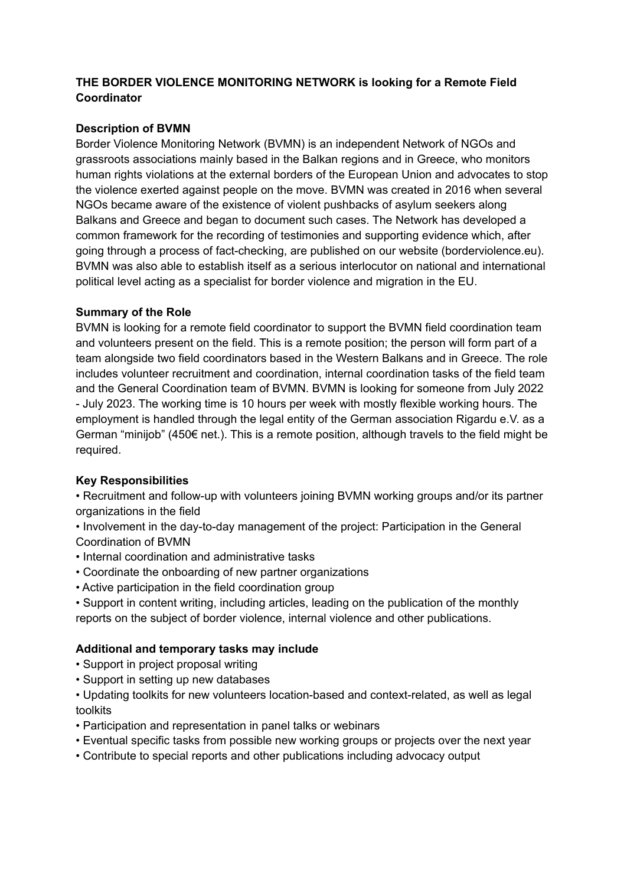# **THE BORDER VIOLENCE MONITORING NETWORK is looking for a Remote Field Coordinator**

# **Description of BVMN**

Border Violence Monitoring Network (BVMN) is an independent Network of NGOs and grassroots associations mainly based in the Balkan regions and in Greece, who monitors human rights violations at the external borders of the European Union and advocates to stop the violence exerted against people on the move. BVMN was created in 2016 when several NGOs became aware of the existence of violent pushbacks of asylum seekers along Balkans and Greece and began to document such cases. The Network has developed a common framework for the recording of testimonies and supporting evidence which, after going through a process of fact-checking, are published on our website (borderviolence.eu). BVMN was also able to establish itself as a serious interlocutor on national and international political level acting as a specialist for border violence and migration in the EU.

## **Summary of the Role**

BVMN is looking for a remote field coordinator to support the BVMN field coordination team and volunteers present on the field. This is a remote position; the person will form part of a team alongside two field coordinators based in the Western Balkans and in Greece. The role includes volunteer recruitment and coordination, internal coordination tasks of the field team and the General Coordination team of BVMN. BVMN is looking for someone from July 2022 - July 2023. The working time is 10 hours per week with mostly flexible working hours. The employment is handled through the legal entity of the German association Rigardu e.V. as a German "minijob" (450€ net.). This is a remote position, although travels to the field might be required.

# **Key Responsibilities**

• Recruitment and follow-up with volunteers joining BVMN working groups and/or its partner organizations in the field

• Involvement in the day-to-day management of the project: Participation in the General Coordination of BVMN

- Internal coordination and administrative tasks
- Coordinate the onboarding of new partner organizations
- Active participation in the field coordination group
- Support in content writing, including articles, leading on the publication of the monthly reports on the subject of border violence, internal violence and other publications.

#### **Additional and temporary tasks may include**

- Support in project proposal writing
- Support in setting up new databases
- Updating toolkits for new volunteers location-based and context-related, as well as legal toolkits
- Participation and representation in panel talks or webinars
- Eventual specific tasks from possible new working groups or projects over the next year
- Contribute to special reports and other publications including advocacy output